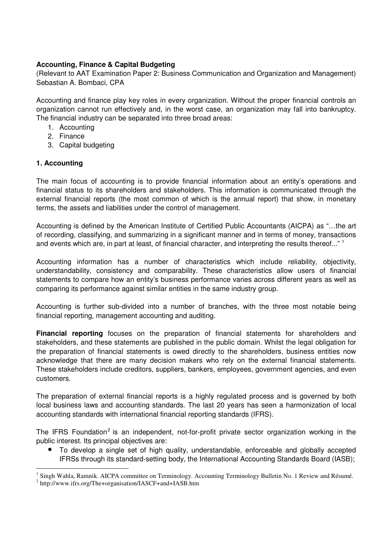## **Accounting, Finance & Capital Budgeting**

(Relevant to AAT Examination Paper 2: Business Communication and Organization and Management) Sebastian A. Bombaci, CPA

Accounting and finance play key roles in every organization. Without the proper financial controls an organization cannot run effectively and, in the worst case, an organization may fall into bankruptcy. The financial industry can be separated into three broad areas:

- 1. Accounting
- 2. Finance
- 3. Capital budgeting

## **1. Accounting**

The main focus of accounting is to provide financial information about an entity's operations and financial status to its shareholders and stakeholders. This information is communicated through the external financial reports (the most common of which is the annual report) that show, in monetary terms, the assets and liabilities under the control of management.

Accounting is defined by the American Institute of Certified Public Accountants (AICPA) as "…the art of recording, classifying, and summarizing in a significant manner and in terms of money, transactions and events which are, in part at least, of financial character, and interpreting the results thereof..." <sup>1</sup>

Accounting information has a number of characteristics which include reliability, objectivity, understandability, consistency and comparability. These characteristics allow users of financial statements to compare how an entity's business performance varies across different years as well as comparing its performance against similar entities in the same industry group.

Accounting is further sub-divided into a number of branches, with the three most notable being financial reporting, management accounting and auditing.

**Financial reporting** focuses on the preparation of financial statements for shareholders and stakeholders, and these statements are published in the public domain. Whilst the legal obligation for the preparation of financial statements is owed directly to the shareholders, business entities now acknowledge that there are many decision makers who rely on the external financial statements. These stakeholders include creditors, suppliers, bankers, employees, government agencies, and even customers.

The preparation of external financial reports is a highly regulated process and is governed by both local business laws and accounting standards. The last 20 years has seen a harmonization of local accounting standards with international financial reporting standards (IFRS).

The IFRS Foundation<sup>2</sup> is an independent, not-for-profit private sector organization working in the public interest. Its principal objectives are:

- To develop a single set of high quality, understandable, enforceable and globally accepted IFRSs through its standard-setting body, the International Accounting Standards Board (IASB);
- -<sup>1</sup> Singh Wahla, Ramnik. AICPA committee on Terminology. Accounting Terminology Bulletin No. 1 Review and Résumé. <sup>2</sup> http://www.ifrs.org/The+organisation/IASCF+and+IASB.htm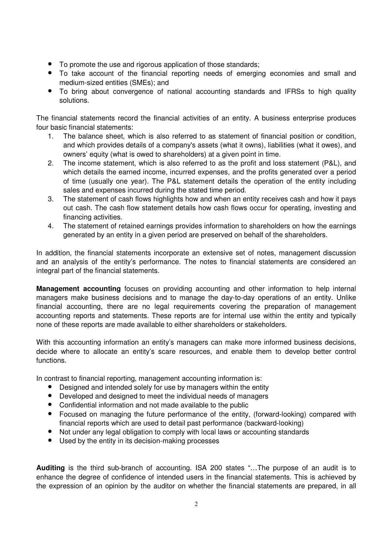- To promote the use and rigorous application of those standards;
- To take account of the financial reporting needs of emerging economies and small and medium-sized entities (SMEs); and
- To bring about convergence of national accounting standards and IFRSs to high quality solutions.

The financial statements record the financial activities of an entity. A business enterprise produces four basic financial statements:

- 1. The balance sheet, which is also referred to as statement of financial position or condition, and which provides details of a company's assets (what it owns), liabilities (what it owes), and owners' equity (what is owed to shareholders) at a given point in time.
- 2. The income statement, which is also referred to as the profit and loss statement (P&L), and which details the earned income, incurred expenses, and the profits generated over a period of time (usually one year). The P&L statement details the operation of the entity including sales and expenses incurred during the stated time period.
- 3. The statement of cash flows highlights how and when an entity receives cash and how it pays out cash. The cash flow statement details how cash flows occur for operating, investing and financing activities.
- 4. The statement of retained earnings provides information to shareholders on how the earnings generated by an entity in a given period are preserved on behalf of the shareholders.

In addition, the financial statements incorporate an extensive set of notes, management discussion and an analysis of the entity's performance. The notes to financial statements are considered an integral part of the financial statements.

**Management accounting** focuses on providing accounting and other information to help internal managers make business decisions and to manage the day-to-day operations of an entity. Unlike financial accounting, there are no legal requirements covering the preparation of management accounting reports and statements. These reports are for internal use within the entity and typically none of these reports are made available to either shareholders or stakeholders.

With this accounting information an entity's managers can make more informed business decisions, decide where to allocate an entity's scare resources, and enable them to develop better control functions.

In contrast to financial reporting, management accounting information is:

- Designed and intended solely for use by managers within the entity
- Developed and designed to meet the individual needs of managers
- Confidential information and not made available to the public
- Focused on managing the future performance of the entity, (forward-looking) compared with financial reports which are used to detail past performance (backward-looking)
- Not under any legal obligation to comply with local laws or accounting standards
- Used by the entity in its decision-making processes

**Auditing** is the third sub-branch of accounting. ISA 200 states "…The purpose of an audit is to enhance the degree of confidence of intended users in the financial statements. This is achieved by the expression of an opinion by the auditor on whether the financial statements are prepared, in all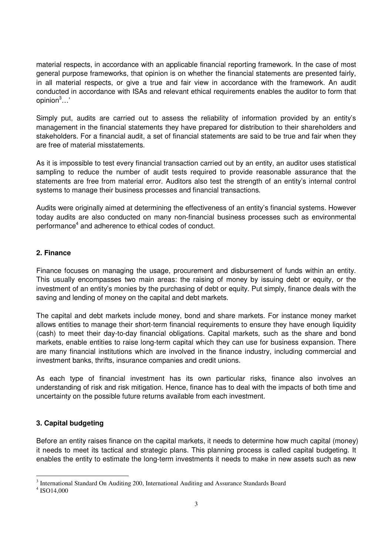material respects, in accordance with an applicable financial reporting framework. In the case of most general purpose frameworks, that opinion is on whether the financial statements are presented fairly, in all material respects, or give a true and fair view in accordance with the framework. An audit conducted in accordance with ISAs and relevant ethical requirements enables the auditor to form that opinion<sup>3</sup>…'

Simply put, audits are carried out to assess the reliability of information provided by an entity's management in the financial statements they have prepared for distribution to their shareholders and stakeholders. For a financial audit, a set of financial statements are said to be true and fair when they are free of material misstatements.

As it is impossible to test every financial transaction carried out by an entity, an auditor uses statistical sampling to reduce the number of audit tests required to provide reasonable assurance that the statements are free from material error. Auditors also test the strength of an entity's internal control systems to manage their business processes and financial transactions.

Audits were originally aimed at determining the effectiveness of an entity's financial systems. However today audits are also conducted on many non-financial business processes such as environmental performance<sup>4</sup> and adherence to ethical codes of conduct.

## **2. Finance**

Finance focuses on managing the usage, procurement and disbursement of funds within an entity. This usually encompasses two main areas: the raising of money by issuing debt or equity, or the investment of an entity's monies by the purchasing of debt or equity. Put simply, finance deals with the saving and lending of money on the capital and debt markets.

The capital and debt markets include money, bond and share markets. For instance money market allows entities to manage their short-term financial requirements to ensure they have enough liquidity (cash) to meet their day-to-day financial obligations. Capital markets, such as the share and bond markets, enable entities to raise long-term capital which they can use for business expansion. There are many financial institutions which are involved in the finance industry, including commercial and investment banks, thrifts, insurance companies and credit unions.

As each type of financial investment has its own particular risks, finance also involves an understanding of risk and risk mitigation. Hence, finance has to deal with the impacts of both time and uncertainty on the possible future returns available from each investment.

## **3. Capital budgeting**

Before an entity raises finance on the capital markets, it needs to determine how much capital (money) it needs to meet its tactical and strategic plans. This planning process is called capital budgeting. It enables the entity to estimate the long-term investments it needs to make in new assets such as new

<sup>-</sup><sup>3</sup> International Standard On Auditing 200, International Auditing and Assurance Standards Board

<sup>4</sup> ISO14,000